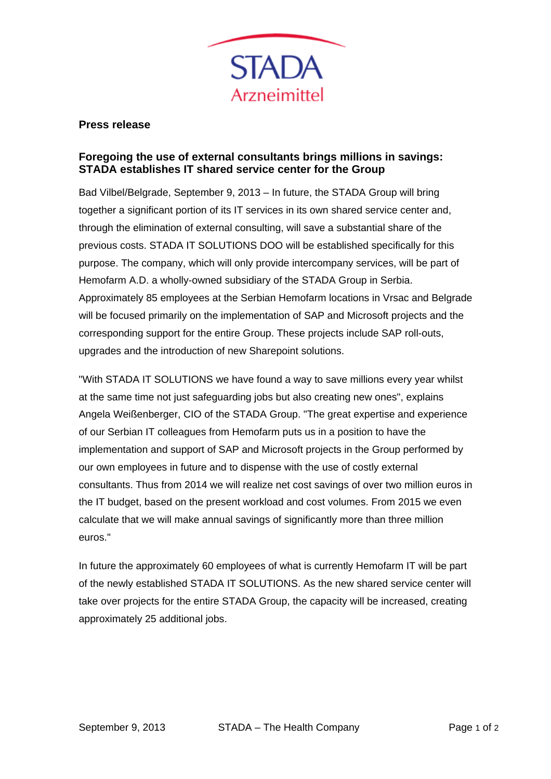

## **Press release**

## **Foregoing the use of external consultants brings millions in savings: STADA establishes IT shared service center for the Group**

Bad Vilbel/Belgrade, September 9, 2013 – In future, the STADA Group will bring together a significant portion of its IT services in its own shared service center and, through the elimination of external consulting, will save a substantial share of the previous costs. STADA IT SOLUTIONS DOO will be established specifically for this purpose. The company, which will only provide intercompany services, will be part of Hemofarm A.D. a wholly-owned subsidiary of the STADA Group in Serbia. Approximately 85 employees at the Serbian Hemofarm locations in Vrsac and Belgrade will be focused primarily on the implementation of SAP and Microsoft projects and the corresponding support for the entire Group. These projects include SAP roll-outs, upgrades and the introduction of new Sharepoint solutions.

"With STADA IT SOLUTIONS we have found a way to save millions every year whilst at the same time not just safeguarding jobs but also creating new ones", explains Angela Weißenberger, CIO of the STADA Group. "The great expertise and experience of our Serbian IT colleagues from Hemofarm puts us in a position to have the implementation and support of SAP and Microsoft projects in the Group performed by our own employees in future and to dispense with the use of costly external consultants. Thus from 2014 we will realize net cost savings of over two million euros in the IT budget, based on the present workload and cost volumes. From 2015 we even calculate that we will make annual savings of significantly more than three million euros."

In future the approximately 60 employees of what is currently Hemofarm IT will be part of the newly established STADA IT SOLUTIONS. As the new shared service center will take over projects for the entire STADA Group, the capacity will be increased, creating approximately 25 additional jobs.